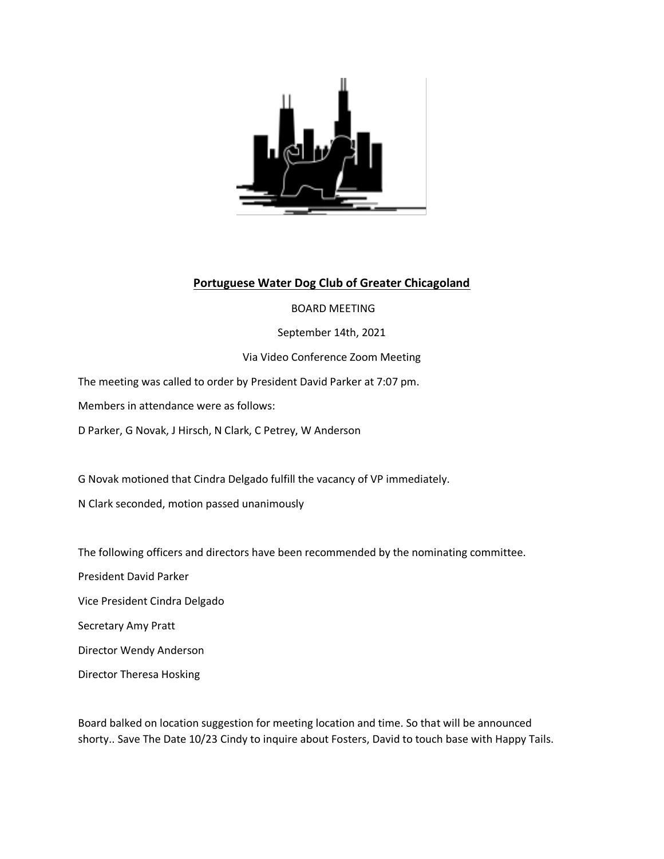

## **Portuguese Water Dog Club of Greater Chicagoland**

## BOARD MEETING

September 14th, 2021

Via Video Conference Zoom Meeting

The meeting was called to order by President David Parker at 7:07 pm.

Members in attendance were as follows:

D Parker, G Novak, J Hirsch, N Clark, C Petrey, W Anderson

G Novak motioned that Cindra Delgado fulfill the vacancy of VP immediately.

N Clark seconded, motion passed unanimously

The following officers and directors have been recommended by the nominating committee.

President David Parker

Vice President Cindra Delgado

Secretary Amy Pratt

Director Wendy Anderson

Director Theresa Hosking

Board balked on location suggestion for meeting location and time. So that will be announced shorty.. Save The Date 10/23 Cindy to inquire about Fosters, David to touch base with Happy Tails.